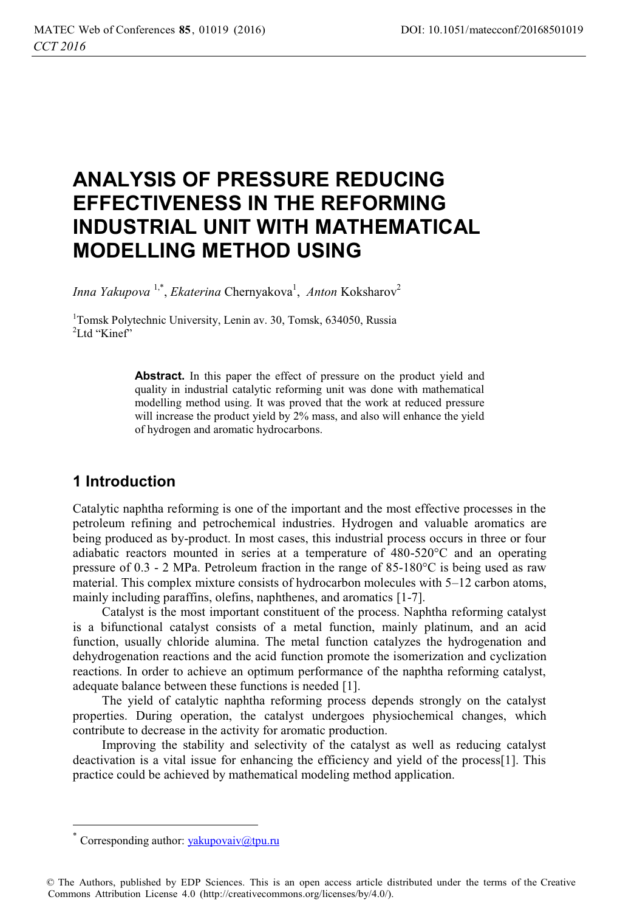# **ANALYSIS OF PRESSURE REDUCING EFFECTIVENESS IN THE REFORMING INDUSTRIAL UNIT WITH MATHEMATICAL MODELLING METHOD USING**

Inna Yakupova<sup>1,\*</sup>, *Ekaterina* Chernyakova<sup>1</sup>, Anton Koksharov<sup>2</sup>

1 Tomsk Polytechnic University, Lenin av. 30, Tomsk, 634050, Russia <sup>2</sup>Ltd "Kinef"

> **Abstract.** In this paper the effect of pressure on the product yield and quality in industrial catalytic reforming unit was done with mathematical modelling method using. It was proved that the work at reduced pressure will increase the product yield by 2% mass, and also will enhance the yield of hydrogen and aromatic hydrocarbons.

# **1 Introduction**

Catalytic naphtha reforming is one of the important and the most effective processes in the petroleum refining and petrochemical industries. Hydrogen and valuable aromatics are being produced as by-product. In most cases, this industrial process occurs in three or four adiabatic reactors mounted in series at a temperature of 480-520°C and an operating pressure of 0.3 - 2 MPa. Petroleum fraction in the range of 85-180°С is being used as raw material. This complex mixture consists of hydrocarbon molecules with 5–12 carbon atoms, mainly including paraffins, olefins, naphthenes, and aromatics [1-7].

Catalyst is the most important constituent of the process. Naphtha reforming catalyst is a bifunctional catalyst consists of a metal function, mainly platinum, and an acid function, usually chloride alumina. The metal function catalyzes the hydrogenation and dehydrogenation reactions and the acid function promote the isomerization and cyclization reactions. In order to achieve an optimum performance of the naphtha reforming catalyst, adequate balance between these functions is needed [1].

The yield of catalytic naphtha reforming process depends strongly on the catalyst properties. During operation, the catalyst undergoes physiochemical changes, which contribute to decrease in the activity for aromatic production.

Improving the stability and selectivity of the catalyst as well as reducing catalyst deactivation is a vital issue for enhancing the efficiency and yield of the process[1]. This practice could be achieved by mathematical modeling method application.

 $\overline{a}$ 

Corresponding author:  $yakupovaiv@tpu.ru$ 

<sup>©</sup> The Authors, published by EDP Sciences. This is an open access article distributed under the terms of the Creative Commons Attribution License 4.0 (http://creativecommons.org/licenses/by/4.0/).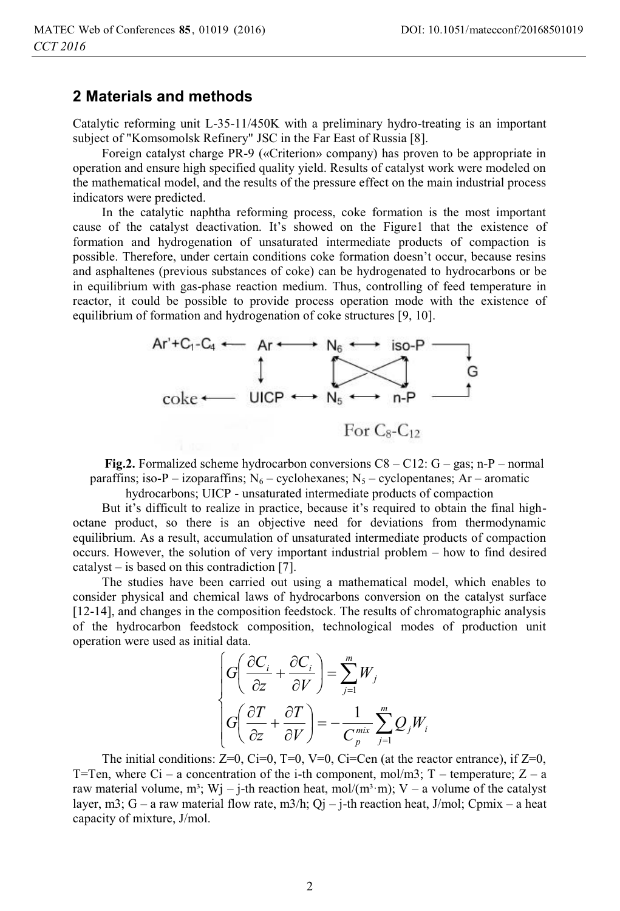### **2 Materials and methods**

Catalytic reforming unit L-35-11/450K with a preliminary hydro-treating is an important subject of "Komsomolsk Refinery" JSC in the Far East of Russia [8].

Foreign catalyst charge PR-9 («Criterion» company) has proven to be appropriate in operation and ensure high specified quality yield. Results of catalyst work were modeled on the mathematical model, and the results of the pressure effect on the main industrial process indicators were predicted.

In the catalytic naphtha reforming process, coke formation is the most important cause of the catalyst deactivation. It's showed on the Figure1 that the existence of formation and hydrogenation of unsaturated intermediate products of compaction is possible. Therefore, under certain conditions coke formation doesn't occur, because resins and asphaltenes (previous substances of coke) can be hydrogenated to hydrocarbons or be in equilibrium with gas-phase reaction medium. Thus, controlling of feed temperature in reactor, it could be possible to provide process operation mode with the existence of equilibrium of formation and hydrogenation of coke structures [9, 10].



**Fig.2.** Formalized scheme hydrocarbon conversions  $C8 - C12$ :  $G - gas$ ; n-P – normal paraffins; iso-P – izoparaffins;  $N_6$  – cyclohexanes;  $N_5$  – cyclopentanes; Ar – aromatic

hydrocarbons; UICP - unsaturated intermediate products of compaction

But it's difficult to realize in practice, because it's required to obtain the final highoctane product, so there is an objective need for deviations from thermodynamic equilibrium. As a result, accumulation of unsaturated intermediate products of compaction occurs. However, the solution of very important industrial problem – how to find desired catalyst – is based on this contradiction [7].

The studies have been carried out using a mathematical model, which enables to consider physical and chemical laws of hydrocarbons conversion on the catalyst surface [12-14], and changes in the composition feedstock. The results of chromatographic analysis of the hydrocarbon feedstock composition, technological modes of production unit operation were used as initial data.

$$
\begin{cases}\nG\left(\frac{\partial C_i}{\partial z} + \frac{\partial C_i}{\partial V}\right) = \sum_{j=1}^m W_j \\
G\left(\frac{\partial T}{\partial z} + \frac{\partial T}{\partial V}\right) = -\frac{1}{C_p^{mix}} \sum_{j=1}^m Q_j W_i\n\end{cases}
$$

The initial conditions:  $Z=0$ ,  $C=0$ ,  $T=0$ ,  $V=0$ ,  $C=-C=0$  (at the reactor entrance), if  $Z=0$ , T=Ten, where Ci – a concentration of the i-th component, mol/m3; T – temperature;  $Z - a$ raw material volume, m<sup>3</sup>; Wj – j-th reaction heat, mol/(m<sup>3</sup>·m); V – a volume of the catalyst layer, m3; G – a raw material flow rate, m3/h; Qj – j-th reaction heat, J/mol; Cpmix – a heat capacity of mixture, J/mol.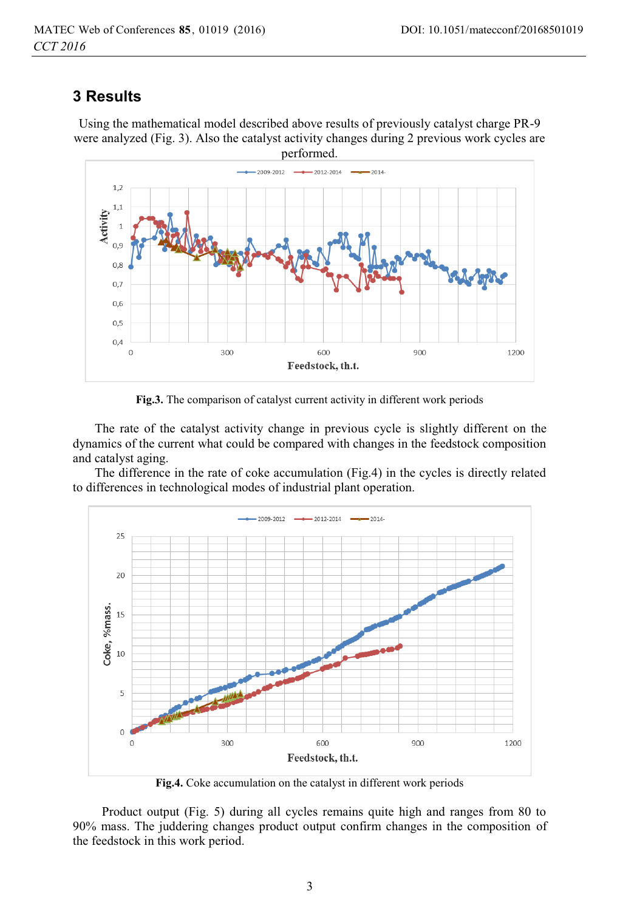## **3 Results**

Using the mathematical model described above results of previously catalyst charge PR-9 were analyzed (Fig. 3). Also the catalyst activity changes during 2 previous work cycles are performed.



**Fig.3.** The comparison of catalyst current activity in different work periods

 The rate of the catalyst activity change in previous cycle is slightly different on the dynamics of the current what could be compared with changes in the feedstock composition and catalyst aging.

 The difference in the rate of coke accumulation (Fig.4) in the cycles is directly related to differences in technological modes of industrial plant operation.



**Fig.4.** Coke accumulation on the catalyst in different work periods

Product output (Fig. 5) during all cycles remains quite high and ranges from 80 to 90% mass. The juddering changes product output confirm changes in the composition of the feedstock in this work period.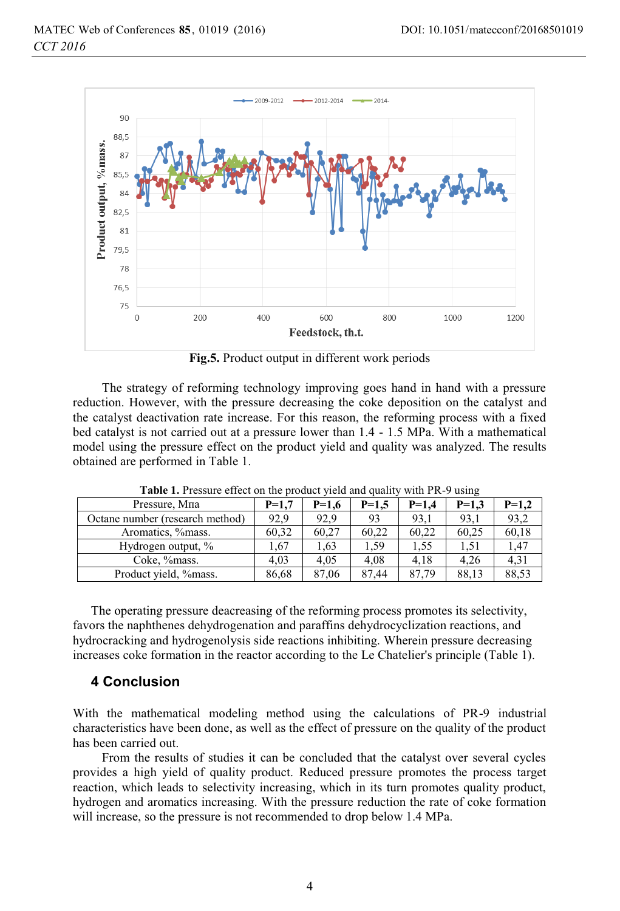

**Fig.5.** Product output in different work periods

The strategy of reforming technology improving goes hand in hand with a pressure reduction. However, with the pressure decreasing the coke deposition on the catalyst and the catalyst deactivation rate increase. For this reason, the reforming process with a fixed bed catalyst is not carried out at a pressure lower than 1.4 - 1.5 MPa. With a mathematical model using the pressure effect on the product yield and quality was analyzed. The results obtained are performed in Table 1.

| Pressure, Mna                   | $P=1.7$ | $P=1.6$ | $P=1.5$ | $P=1.4$ | $P=1.3$ | $P=1,2$ |
|---------------------------------|---------|---------|---------|---------|---------|---------|
| Octane number (research method) | 92.9    | 92.9    | 93      | 93.1    | 93.1    | 93,2    |
| Aromatics, % mass.              | 60.32   | 60.27   | 60.22   | 60.22   | 60.25   | 60.18   |
| Hydrogen output, %              | 1.67    | 1.63    | l.59    | 1.55    | 1.51    | 1,47    |
| Coke, %mass.                    | 4.03    | 4.05    | 4.08    | 4.18    | 4.26    | 4,31    |
| Product yield, %mass.           | 86,68   | 87.06   | 87.44   | 87,79   | 88,13   | 88,53   |

**Table 1.** Pressure effect on the product yield and quality with PR-9 using

The operating pressure deacreasing of the reforming process promotes its selectivity, favors the naphthenes dehydrogenation and paraffins dehydrocyclization reactions, and hydrocracking and hydrogenolysis side reactions inhibiting. Wherein pressure decreasing increases coke formation in the reactor according to the Le Chatelier's principle (Table 1).

### **4 Conclusion**

With the mathematical modeling method using the calculations of PR-9 industrial characteristics have been done, as well as the effect of pressure on the quality of the product has been carried out.

From the results of studies it can be concluded that the catalyst over several cycles provides a high yield of quality product. Reduced pressure promotes the process target reaction, which leads to selectivity increasing, which in its turn promotes quality product, hydrogen and aromatics increasing. With the pressure reduction the rate of coke formation will increase, so the pressure is not recommended to drop below 1.4 MPa.